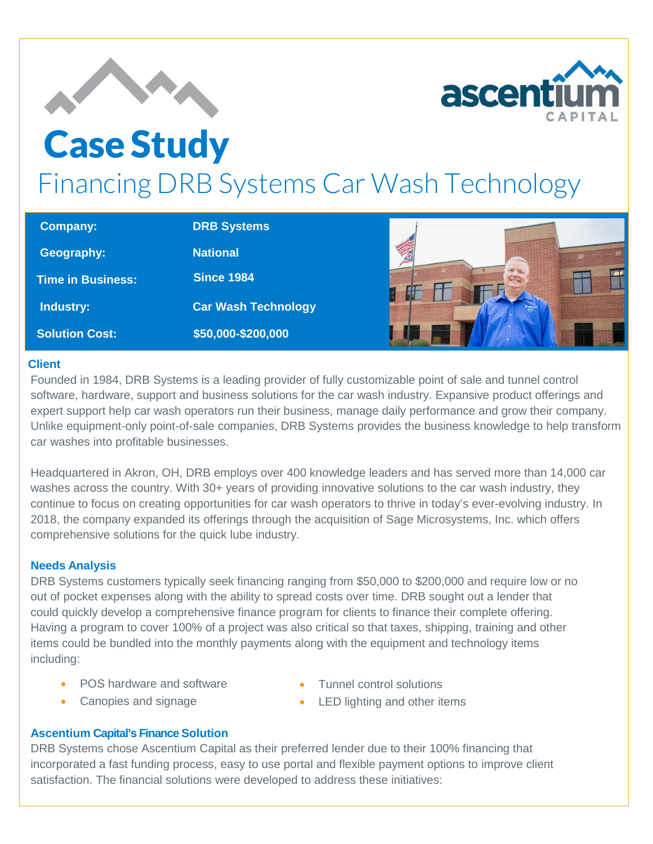



# Case Study Financing DRB Systems Car Wash Technology

| <b>Company:</b>          | <b>DRB Systems</b>         |  |
|--------------------------|----------------------------|--|
| Geography:               | <b>National</b>            |  |
| <b>Time in Business:</b> | <b>Since 1984</b>          |  |
| Industry:                | <b>Car Wash Technology</b> |  |
| <b>Solution Cost:</b>    | \$50,000-\$200,000         |  |

## **Client**

Founded in 1984, DRB Systems is a leading provider of fully customizable point of sale and tunnel control software, hardware, support and business solutions for the car wash industry. Expansive product offerings and expert support help car wash operators run their business, manage daily performance and grow their company. Unlike equipment-only point-of-sale companies, DRB Systems provides the business knowledge to help transform car washes into profitable businesses.

Headquartered in Akron, OH, DRB employs over 400 knowledge leaders and has served more than 14,000 car washes across the country. With 30+ years of providing innovative solutions to the car wash industry, they continue to focus on creating opportunities for car wash operators to thrive in today's ever-evolving industry. In 2018, the company expanded its offerings through the acquisition of Sage Microsystems, Inc. which offers comprehensive solutions for the quick lube industry.

## **Needs Analysis**

DRB Systems customers typically seek financing ranging from \$50,000 to \$200,000 and require low or no out of pocket expenses along with the ability to spread costs over time. DRB sought out a lender that could quickly develop a comprehensive finance program for clients to finance their complete offering. Having a program to cover 100% of a project was also critical so that taxes, shipping, training and other items could be bundled into the monthly payments along with the equipment and technology items including:

- POS hardware and software
- Tunnel control solutions

• Canopies and signage

• LED lighting and other items

## **Ascentium Capital's Finance Solution**

DRB Systems chose Ascentium Capital as their preferred lender due to their 100% financing that incorporated a fast funding process, easy to use portal and flexible payment options to improve client satisfaction. The financial solutions were developed to address these initiatives: